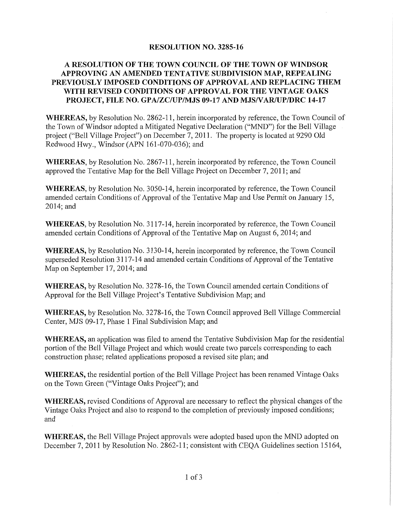### **RESOLUTION NO. 3285-16**

### A RESOLUTION OF THE TOWN COUNCIL OF THE TOWN OF WINDSOR APPROVING AN AMENDED TENTATIVE SUBDIVISION MAP, REPEALING PREVIOUSLY IMPOSED CONDITIONS OF APPROVAL AND REPLACING THEM WITH REVISED CONDITIONS OF APPROVAL FOR THE VINTAGE OAKS PROJECT, FILE NO. GPA/ZC/UP/MJS 09-17 AND MJS/VAR/UP/DRC 14-17

**WHEREAS,** by Resolution No. 2862-11, herein incorporated by reference, the Town Council of the Town of Windsor adopted a Mitigated Negative Declaration ("MND") for the Bell Village project ("Bell Village Project") on December 7, 2011. The property is located at 9290 Old Redwood Hwy., Windsor (APN 161-070-036); and

**WHEREAS**, by Resolution No. 2867-11, herein incorporated by reference, the Town Council approved the Tentative Map for the Bell Village Project on December 7, 2011; and

**WHEREAS**, by Resolution No. 3050-14, herein incorporated by reference, the Town Council amended certain Conditions of Approval of the Tentative Map and Use Permit on January 15,  $2014$ ; and

**WHEREAS**, by Resolution No. 3117-14, herein incorporated by reference, the Town Council amended certain Conditions of Approval of the Tentative Map on August 6, 2014; and

**WHEREAS**, by Resolution No. 3130-14, herein incorporated by reference, the Town Council superseded Resolution 3117-14 and amended certain Conditions of Approval of the Tentative Map on September 17, 2014; and

**WHEREAS,** by Resolution No. 3278-16, the Town Council amended certain Conditions of Approval for the Bell Village Project's Tentative Subdivision Map; and

WHEREAS, by Resolution No. 3278-16, the Town Council approved Bell Village Commercial Center, MJS 09-17, Phase 1 Final Subdivision Map; and

**WHEREAS**, an application was filed to amend the Tentative Subdivision Map for the residential portion of the Bell Village Project and which would create two parcels corresponding to each construction phase; related applications proposed a revised site plan; and

**WHEREAS,** the residential portion of the Bell Village Project has been renamed Vintage Oaks on the Town Green ("Vintage Oaks Project"); and

**WHEREAS**, revised Conditions of Approval are necessary to reflect the physical changes of the Vintage Oaks Project and also to respond to the completion of previously imposed conditions; and

**WHEREAS**, the Bell Village Project approvals were adopted based upon the MND adopted on December 7, 2011 by Resolution No. 2862-11; consistent with CEQA Guidelines section 15164,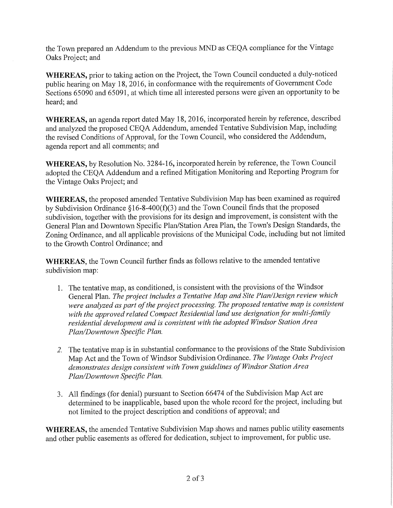the Town prepared an Addendum to the previous MND as CEQA compliance for the Vintage Oaks Project; and

**WHEREAS**, prior to taking action on the Project, the Town Council conducted a duly-noticed public hearing on May 18, 2016, in conformance with the requirements of Government Code Sections 65090 and 65091, at which time all interested persons were given an opportunity to be heard: and

WHEREAS, an agenda report dated May 18, 2016, incorporated herein by reference, described and analyzed the proposed CEQA Addendum, amended Tentative Subdivision Map, including the revised Conditions of Approval, for the Town Council, who considered the Addendum, agenda report and all comments; and

WHEREAS, by Resolution No. 3284-16, incorporated herein by reference, the Town Council adopted the CEQA Addendum and a refined Mitigation Monitoring and Reporting Program for the Vintage Oaks Project; and

WHEREAS, the proposed amended Tentative Subdivision Map has been examined as required by Subdivision Ordinance  $§16-8-400(f)(3)$  and the Town Council finds that the proposed subdivision, together with the provisions for its design and improvement, is consistent with the General Plan and Downtown Specific Plan/Station Area Plan, the Town's Design Standards, the Zoning Ordinance, and all applicable provisions of the Municipal Code, including but not limited to the Growth Control Ordinance; and

WHEREAS, the Town Council further finds as follows relative to the amended tentative subdivision map:

- 1. The tentative map, as conditioned, is consistent with the provisions of the Windsor General Plan. The project includes a Tentative Map and Site Plan/Design review which were analyzed as part of the project processing. The proposed tentative map is consistent with the approved related Compact Residential land use designation for multi-family residential development and is consistent with the adopted Windsor Station Area Plan/Downtown Specific Plan.
- 2. The tentative map is in substantial conformance to the provisions of the State Subdivision Map Act and the Town of Windsor Subdivision Ordinance. The Vintage Oaks Project demonstrates design consistent with Town guidelines of Windsor Station Area Plan/Downtown Specific Plan.
- 3. All findings (for denial) pursuant to Section 66474 of the Subdivision Map Act are determined to be inapplicable, based upon the whole record for the project, including but not limited to the project description and conditions of approval; and

WHEREAS, the amended Tentative Subdivision Map shows and names public utility easements and other public easements as offered for dedication, subject to improvement, for public use.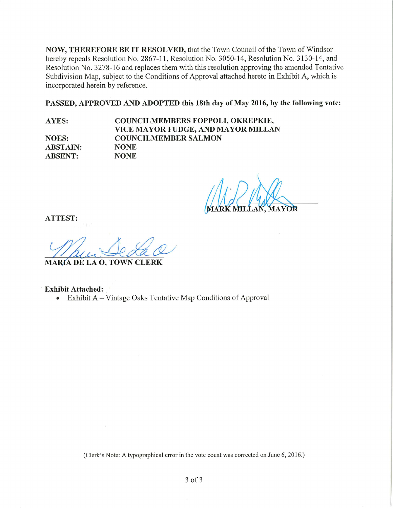NOW, THEREFORE BE IT RESOLVED, that the Town Council of the Town of Windsor hereby repeals Resolution No. 2867-11, Resolution No. 3050-14, Resolution No. 3130-14, and Resolution No. 3278-16 and replaces them with this resolution approving the amended Tentative Subdivision Map, subject to the Conditions of Approval attached hereto in Exhibit A, which is incorporated herein by reference.

PASSED, APPROVED AND ADOPTED this 18th day of May 2016, by the following vote:

**NOES: ABSTAIN: ABSENT:** 

**AYES:** 

COUNCILMEMBERS FOPPOLI, OKREPKIE, VICE MAYOR FUDGE, AND MAYOR MILLAN **COUNCILMEMBER SALMON NONE NONE** 

**ATTEST:** 

**MARIA DE LA O, TOWN CLERK** 

**Exhibit Attached:** Exhibit A – Vintage Oaks Tentative Map Conditions of Approval  $\bullet$ 

(Clerk's Note: A typographical error in the vote count was corrected on June 6, 2016.)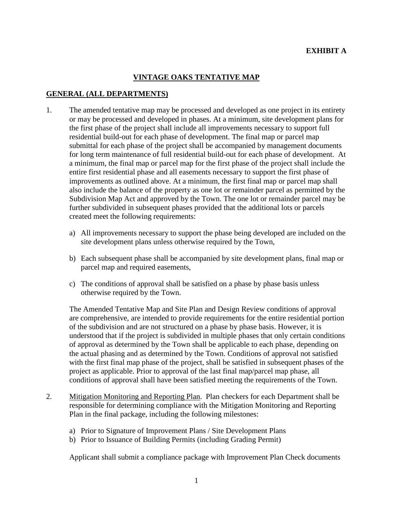# **EXHIBIT A**

## **VINTAGE OAKS TENTATIVE MAP**

#### **GENERAL (ALL DEPARTMENTS)**

- 1. The amended tentative map may be processed and developed as one project in its entirety or may be processed and developed in phases. At a minimum, site development plans for the first phase of the project shall include all improvements necessary to support full residential build-out for each phase of development. The final map or parcel map submittal for each phase of the project shall be accompanied by management documents for long term maintenance of full residential build-out for each phase of development. At a minimum, the final map or parcel map for the first phase of the project shall include the entire first residential phase and all easements necessary to support the first phase of improvements as outlined above. At a minimum, the first final map or parcel map shall also include the balance of the property as one lot or remainder parcel as permitted by the Subdivision Map Act and approved by the Town. The one lot or remainder parcel may be further subdivided in subsequent phases provided that the additional lots or parcels created meet the following requirements:
	- a) All improvements necessary to support the phase being developed are included on the site development plans unless otherwise required by the Town,
	- b) Each subsequent phase shall be accompanied by site development plans, final map or parcel map and required easements,
	- c) The conditions of approval shall be satisfied on a phase by phase basis unless otherwise required by the Town.

The Amended Tentative Map and Site Plan and Design Review conditions of approval are comprehensive, are intended to provide requirements for the entire residential portion of the subdivision and are not structured on a phase by phase basis. However, it is understood that if the project is subdivided in multiple phases that only certain conditions of approval as determined by the Town shall be applicable to each phase, depending on the actual phasing and as determined by the Town. Conditions of approval not satisfied with the first final map phase of the project, shall be satisfied in subsequent phases of the project as applicable. Prior to approval of the last final map/parcel map phase, all conditions of approval shall have been satisfied meeting the requirements of the Town.

- 2. Mitigation Monitoring and Reporting Plan. Plan checkers for each Department shall be responsible for determining compliance with the Mitigation Monitoring and Reporting Plan in the final package, including the following milestones:
	- a) Prior to Signature of Improvement Plans / Site Development Plans
	- b) Prior to Issuance of Building Permits (including Grading Permit)

Applicant shall submit a compliance package with Improvement Plan Check documents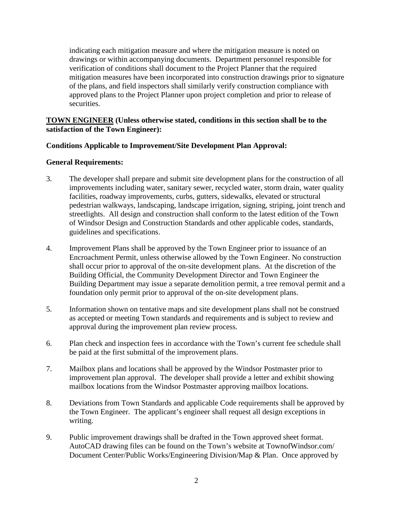indicating each mitigation measure and where the mitigation measure is noted on drawings or within accompanying documents. Department personnel responsible for verification of conditions shall document to the Project Planner that the required mitigation measures have been incorporated into construction drawings prior to signature of the plans, and field inspectors shall similarly verify construction compliance with approved plans to the Project Planner upon project completion and prior to release of securities.

### **TOWN ENGINEER (Unless otherwise stated, conditions in this section shall be to the satisfaction of the Town Engineer):**

#### **Conditions Applicable to Improvement/Site Development Plan Approval:**

#### **General Requirements:**

- 3. The developer shall prepare and submit site development plans for the construction of all improvements including water, sanitary sewer, recycled water, storm drain, water quality facilities, roadway improvements, curbs, gutters, sidewalks, elevated or structural pedestrian walkways, landscaping, landscape irrigation, signing, striping, joint trench and streetlights. All design and construction shall conform to the latest edition of the Town of Windsor Design and Construction Standards and other applicable codes, standards, guidelines and specifications.
- 4. Improvement Plans shall be approved by the Town Engineer prior to issuance of an Encroachment Permit, unless otherwise allowed by the Town Engineer. No construction shall occur prior to approval of the on-site development plans. At the discretion of the Building Official, the Community Development Director and Town Engineer the Building Department may issue a separate demolition permit, a tree removal permit and a foundation only permit prior to approval of the on-site development plans.
- 5. Information shown on tentative maps and site development plans shall not be construed as accepted or meeting Town standards and requirements and is subject to review and approval during the improvement plan review process.
- 6. Plan check and inspection fees in accordance with the Town's current fee schedule shall be paid at the first submittal of the improvement plans.
- 7. Mailbox plans and locations shall be approved by the Windsor Postmaster prior to improvement plan approval. The developer shall provide a letter and exhibit showing mailbox locations from the Windsor Postmaster approving mailbox locations.
- 8. Deviations from Town Standards and applicable Code requirements shall be approved by the Town Engineer. The applicant's engineer shall request all design exceptions in writing.
- 9. Public improvement drawings shall be drafted in the Town approved sheet format. AutoCAD drawing files can be found on the Town's website at TownofWindsor.com/ Document Center/Public Works/Engineering Division/Map & Plan. Once approved by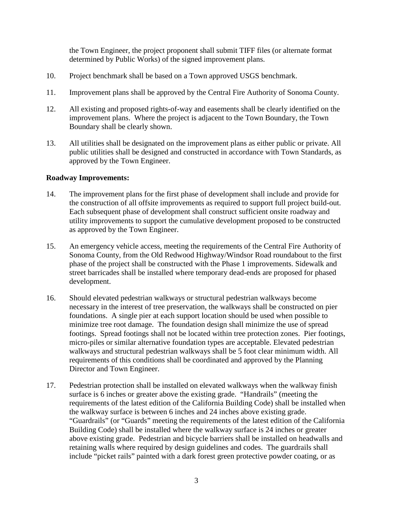the Town Engineer, the project proponent shall submit TIFF files (or alternate format determined by Public Works) of the signed improvement plans.

- 10. Project benchmark shall be based on a Town approved USGS benchmark.
- 11. Improvement plans shall be approved by the Central Fire Authority of Sonoma County.
- 12. All existing and proposed rights-of-way and easements shall be clearly identified on the improvement plans. Where the project is adjacent to the Town Boundary, the Town Boundary shall be clearly shown.
- 13. All utilities shall be designated on the improvement plans as either public or private. All public utilities shall be designed and constructed in accordance with Town Standards, as approved by the Town Engineer.

#### **Roadway Improvements:**

- 14. The improvement plans for the first phase of development shall include and provide for the construction of all offsite improvements as required to support full project build-out. Each subsequent phase of development shall construct sufficient onsite roadway and utility improvements to support the cumulative development proposed to be constructed as approved by the Town Engineer.
- 15. An emergency vehicle access, meeting the requirements of the Central Fire Authority of Sonoma County, from the Old Redwood Highway/Windsor Road roundabout to the first phase of the project shall be constructed with the Phase 1 improvements. Sidewalk and street barricades shall be installed where temporary dead-ends are proposed for phased development.
- 16. Should elevated pedestrian walkways or structural pedestrian walkways become necessary in the interest of tree preservation, the walkways shall be constructed on pier foundations. A single pier at each support location should be used when possible to minimize tree root damage. The foundation design shall minimize the use of spread footings. Spread footings shall not be located within tree protection zones. Pier footings, micro-piles or similar alternative foundation types are acceptable. Elevated pedestrian walkways and structural pedestrian walkways shall be 5 foot clear minimum width. All requirements of this conditions shall be coordinated and approved by the Planning Director and Town Engineer.
- 17. Pedestrian protection shall be installed on elevated walkways when the walkway finish surface is 6 inches or greater above the existing grade. "Handrails" (meeting the requirements of the latest edition of the California Building Code) shall be installed when the walkway surface is between 6 inches and 24 inches above existing grade. "Guardrails" (or "Guards" meeting the requirements of the latest edition of the California Building Code) shall be installed where the walkway surface is 24 inches or greater above existing grade. Pedestrian and bicycle barriers shall be installed on headwalls and retaining walls where required by design guidelines and codes. The guardrails shall include "picket rails" painted with a dark forest green protective powder coating, or as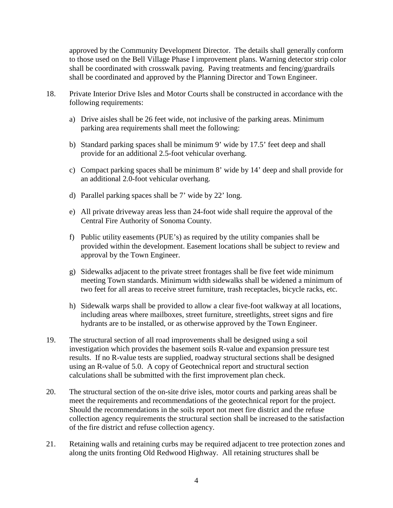approved by the Community Development Director. The details shall generally conform to those used on the Bell Village Phase I improvement plans. Warning detector strip color shall be coordinated with crosswalk paving. Paving treatments and fencing/guardrails shall be coordinated and approved by the Planning Director and Town Engineer.

- 18. Private Interior Drive Isles and Motor Courts shall be constructed in accordance with the following requirements:
	- a) Drive aisles shall be 26 feet wide, not inclusive of the parking areas. Minimum parking area requirements shall meet the following:
	- b) Standard parking spaces shall be minimum 9' wide by 17.5' feet deep and shall provide for an additional 2.5-foot vehicular overhang.
	- c) Compact parking spaces shall be minimum 8' wide by 14' deep and shall provide for an additional 2.0-foot vehicular overhang.
	- d) Parallel parking spaces shall be 7' wide by 22' long.
	- e) All private driveway areas less than 24-foot wide shall require the approval of the Central Fire Authority of Sonoma County.
	- f) Public utility easements (PUE's) as required by the utility companies shall be provided within the development. Easement locations shall be subject to review and approval by the Town Engineer.
	- g) Sidewalks adjacent to the private street frontages shall be five feet wide minimum meeting Town standards. Minimum width sidewalks shall be widened a minimum of two feet for all areas to receive street furniture, trash receptacles, bicycle racks, etc.
	- h) Sidewalk warps shall be provided to allow a clear five-foot walkway at all locations, including areas where mailboxes, street furniture, streetlights, street signs and fire hydrants are to be installed, or as otherwise approved by the Town Engineer.
- 19. The structural section of all road improvements shall be designed using a soil investigation which provides the basement soils R-value and expansion pressure test results. If no R-value tests are supplied, roadway structural sections shall be designed using an R-value of 5.0. A copy of Geotechnical report and structural section calculations shall be submitted with the first improvement plan check.
- 20. The structural section of the on-site drive isles, motor courts and parking areas shall be meet the requirements and recommendations of the geotechnical report for the project. Should the recommendations in the soils report not meet fire district and the refuse collection agency requirements the structural section shall be increased to the satisfaction of the fire district and refuse collection agency.
- 21. Retaining walls and retaining curbs may be required adjacent to tree protection zones and along the units fronting Old Redwood Highway. All retaining structures shall be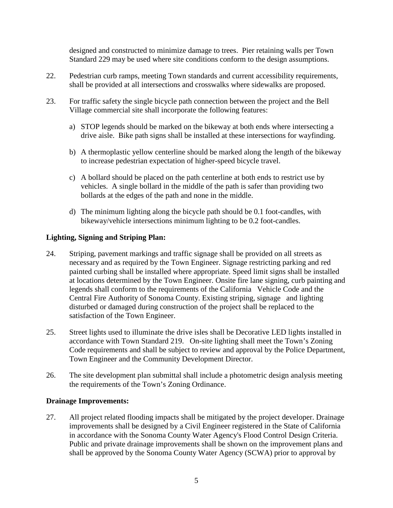designed and constructed to minimize damage to trees. Pier retaining walls per Town Standard 229 may be used where site conditions conform to the design assumptions.

- 22. Pedestrian curb ramps, meeting Town standards and current accessibility requirements, shall be provided at all intersections and crosswalks where sidewalks are proposed.
- 23. For traffic safety the single bicycle path connection between the project and the Bell Village commercial site shall incorporate the following features:
	- a) STOP legends should be marked on the bikeway at both ends where intersecting a drive aisle. Bike path signs shall be installed at these intersections for wayfinding.
	- b) A thermoplastic yellow centerline should be marked along the length of the bikeway to increase pedestrian expectation of higher-speed bicycle travel.
	- c) A bollard should be placed on the path centerline at both ends to restrict use by vehicles. A single bollard in the middle of the path is safer than providing two bollards at the edges of the path and none in the middle.
	- d) The minimum lighting along the bicycle path should be 0.1 foot-candles, with bikeway/vehicle intersections minimum lighting to be 0.2 foot-candles.

### **Lighting, Signing and Striping Plan:**

- 24. Striping, pavement markings and traffic signage shall be provided on all streets as necessary and as required by the Town Engineer. Signage restricting parking and red painted curbing shall be installed where appropriate. Speed limit signs shall be installed at locations determined by the Town Engineer. Onsite fire lane signing, curb painting and legends shall conform to the requirements of the California Vehicle Code and the Central Fire Authority of Sonoma County. Existing striping, signage and lighting disturbed or damaged during construction of the project shall be replaced to the satisfaction of the Town Engineer.
- 25. Street lights used to illuminate the drive isles shall be Decorative LED lights installed in accordance with Town Standard 219. On-site lighting shall meet the Town's Zoning Code requirements and shall be subject to review and approval by the Police Department, Town Engineer and the Community Development Director.
- 26. The site development plan submittal shall include a photometric design analysis meeting the requirements of the Town's Zoning Ordinance.

#### **Drainage Improvements:**

27. All project related flooding impacts shall be mitigated by the project developer. Drainage improvements shall be designed by a Civil Engineer registered in the State of California in accordance with the Sonoma County Water Agency's Flood Control Design Criteria. Public and private drainage improvements shall be shown on the improvement plans and shall be approved by the Sonoma County Water Agency (SCWA) prior to approval by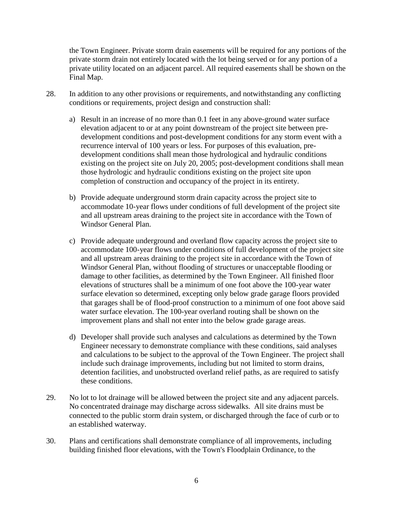the Town Engineer. Private storm drain easements will be required for any portions of the private storm drain not entirely located with the lot being served or for any portion of a private utility located on an adjacent parcel. All required easements shall be shown on the Final Map.

- 28. In addition to any other provisions or requirements, and notwithstanding any conflicting conditions or requirements, project design and construction shall:
	- a) Result in an increase of no more than 0.1 feet in any above-ground water surface elevation adjacent to or at any point downstream of the project site between predevelopment conditions and post-development conditions for any storm event with a recurrence interval of 100 years or less. For purposes of this evaluation, predevelopment conditions shall mean those hydrological and hydraulic conditions existing on the project site on July 20, 2005; post-development conditions shall mean those hydrologic and hydraulic conditions existing on the project site upon completion of construction and occupancy of the project in its entirety.
	- b) Provide adequate underground storm drain capacity across the project site to accommodate 10-year flows under conditions of full development of the project site and all upstream areas draining to the project site in accordance with the Town of Windsor General Plan.
	- c) Provide adequate underground and overland flow capacity across the project site to accommodate 100-year flows under conditions of full development of the project site and all upstream areas draining to the project site in accordance with the Town of Windsor General Plan, without flooding of structures or unacceptable flooding or damage to other facilities, as determined by the Town Engineer. All finished floor elevations of structures shall be a minimum of one foot above the 100-year water surface elevation so determined, excepting only below grade garage floors provided that garages shall be of flood-proof construction to a minimum of one foot above said water surface elevation. The 100-year overland routing shall be shown on the improvement plans and shall not enter into the below grade garage areas.
	- d) Developer shall provide such analyses and calculations as determined by the Town Engineer necessary to demonstrate compliance with these conditions, said analyses and calculations to be subject to the approval of the Town Engineer. The project shall include such drainage improvements, including but not limited to storm drains, detention facilities, and unobstructed overland relief paths, as are required to satisfy these conditions.
- 29. No lot to lot drainage will be allowed between the project site and any adjacent parcels. No concentrated drainage may discharge across sidewalks. All site drains must be connected to the public storm drain system, or discharged through the face of curb or to an established waterway.
- 30. Plans and certifications shall demonstrate compliance of all improvements, including building finished floor elevations, with the Town's Floodplain Ordinance, to the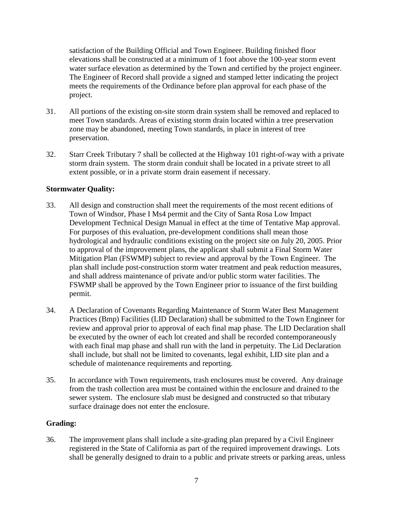satisfaction of the Building Official and Town Engineer. Building finished floor elevations shall be constructed at a minimum of 1 foot above the 100-year storm event water surface elevation as determined by the Town and certified by the project engineer. The Engineer of Record shall provide a signed and stamped letter indicating the project meets the requirements of the Ordinance before plan approval for each phase of the project.

- 31. All portions of the existing on-site storm drain system shall be removed and replaced to meet Town standards. Areas of existing storm drain located within a tree preservation zone may be abandoned, meeting Town standards, in place in interest of tree preservation.
- 32. Starr Creek Tributary 7 shall be collected at the Highway 101 right-of-way with a private storm drain system. The storm drain conduit shall be located in a private street to all extent possible, or in a private storm drain easement if necessary.

# **Stormwater Quality:**

- 33. All design and construction shall meet the requirements of the most recent editions of Town of Windsor, Phase I Ms4 permit and the City of Santa Rosa Low Impact Development Technical Design Manual in effect at the time of Tentative Map approval. For purposes of this evaluation, pre-development conditions shall mean those hydrological and hydraulic conditions existing on the project site on July 20, 2005. Prior to approval of the improvement plans, the applicant shall submit a Final Storm Water Mitigation Plan (FSWMP) subject to review and approval by the Town Engineer. The plan shall include post-construction storm water treatment and peak reduction measures, and shall address maintenance of private and/or public storm water facilities. The FSWMP shall be approved by the Town Engineer prior to issuance of the first building permit.
- 34. A Declaration of Covenants Regarding Maintenance of Storm Water Best Management Practices (Bmp) Facilities (LID Declaration) shall be submitted to the Town Engineer for review and approval prior to approval of each final map phase. The LID Declaration shall be executed by the owner of each lot created and shall be recorded contemporaneously with each final map phase and shall run with the land in perpetuity. The Lid Declaration shall include, but shall not be limited to covenants, legal exhibit, LID site plan and a schedule of maintenance requirements and reporting.
- 35. In accordance with Town requirements, trash enclosures must be covered. Any drainage from the trash collection area must be contained within the enclosure and drained to the sewer system. The enclosure slab must be designed and constructed so that tributary surface drainage does not enter the enclosure.

#### **Grading:**

36. The improvement plans shall include a site-grading plan prepared by a Civil Engineer registered in the State of California as part of the required improvement drawings. Lots shall be generally designed to drain to a public and private streets or parking areas, unless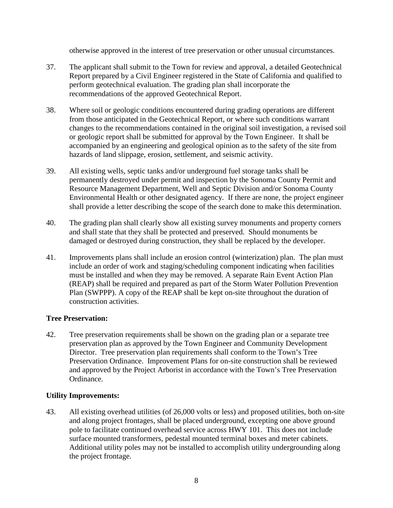otherwise approved in the interest of tree preservation or other unusual circumstances.

- 37. The applicant shall submit to the Town for review and approval, a detailed Geotechnical Report prepared by a Civil Engineer registered in the State of California and qualified to perform geotechnical evaluation. The grading plan shall incorporate the recommendations of the approved Geotechnical Report.
- 38. Where soil or geologic conditions encountered during grading operations are different from those anticipated in the Geotechnical Report, or where such conditions warrant changes to the recommendations contained in the original soil investigation, a revised soil or geologic report shall be submitted for approval by the Town Engineer. It shall be accompanied by an engineering and geological opinion as to the safety of the site from hazards of land slippage, erosion, settlement, and seismic activity.
- 39. All existing wells, septic tanks and/or underground fuel storage tanks shall be permanently destroyed under permit and inspection by the Sonoma County Permit and Resource Management Department, Well and Septic Division and/or Sonoma County Environmental Health or other designated agency. If there are none, the project engineer shall provide a letter describing the scope of the search done to make this determination.
- 40. The grading plan shall clearly show all existing survey monuments and property corners and shall state that they shall be protected and preserved. Should monuments be damaged or destroyed during construction, they shall be replaced by the developer.
- 41. Improvements plans shall include an erosion control (winterization) plan. The plan must include an order of work and staging/scheduling component indicating when facilities must be installed and when they may be removed. A separate Rain Event Action Plan (REAP) shall be required and prepared as part of the Storm Water Pollution Prevention Plan (SWPPP). A copy of the REAP shall be kept on-site throughout the duration of construction activities.

# **Tree Preservation:**

42. Tree preservation requirements shall be shown on the grading plan or a separate tree preservation plan as approved by the Town Engineer and Community Development Director. Tree preservation plan requirements shall conform to the Town's Tree Preservation Ordinance. Improvement Plans for on-site construction shall be reviewed and approved by the Project Arborist in accordance with the Town's Tree Preservation Ordinance.

# **Utility Improvements:**

43. All existing overhead utilities (of 26,000 volts or less) and proposed utilities, both on-site and along project frontages, shall be placed underground, excepting one above ground pole to facilitate continued overhead service across HWY 101. This does not include surface mounted transformers, pedestal mounted terminal boxes and meter cabinets. Additional utility poles may not be installed to accomplish utility undergrounding along the project frontage.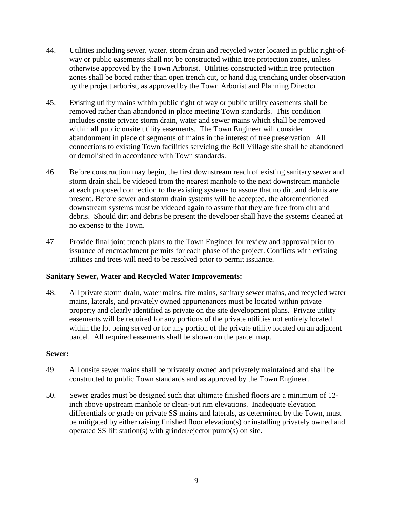- 44. Utilities including sewer, water, storm drain and recycled water located in public right-ofway or public easements shall not be constructed within tree protection zones, unless otherwise approved by the Town Arborist. Utilities constructed within tree protection zones shall be bored rather than open trench cut, or hand dug trenching under observation by the project arborist, as approved by the Town Arborist and Planning Director.
- 45. Existing utility mains within public right of way or public utility easements shall be removed rather than abandoned in place meeting Town standards. This condition includes onsite private storm drain, water and sewer mains which shall be removed within all public onsite utility easements. The Town Engineer will consider abandonment in place of segments of mains in the interest of tree preservation. All connections to existing Town facilities servicing the Bell Village site shall be abandoned or demolished in accordance with Town standards.
- 46. Before construction may begin, the first downstream reach of existing sanitary sewer and storm drain shall be videoed from the nearest manhole to the next downstream manhole at each proposed connection to the existing systems to assure that no dirt and debris are present. Before sewer and storm drain systems will be accepted, the aforementioned downstream systems must be videoed again to assure that they are free from dirt and debris. Should dirt and debris be present the developer shall have the systems cleaned at no expense to the Town.
- 47. Provide final joint trench plans to the Town Engineer for review and approval prior to issuance of encroachment permits for each phase of the project. Conflicts with existing utilities and trees will need to be resolved prior to permit issuance.

# **Sanitary Sewer, Water and Recycled Water Improvements:**

48. All private storm drain, water mains, fire mains, sanitary sewer mains, and recycled water mains, laterals, and privately owned appurtenances must be located within private property and clearly identified as private on the site development plans. Private utility easements will be required for any portions of the private utilities not entirely located within the lot being served or for any portion of the private utility located on an adjacent parcel. All required easements shall be shown on the parcel map.

#### **Sewer:**

- 49. All onsite sewer mains shall be privately owned and privately maintained and shall be constructed to public Town standards and as approved by the Town Engineer.
- 50. Sewer grades must be designed such that ultimate finished floors are a minimum of 12 inch above upstream manhole or clean-out rim elevations. Inadequate elevation differentials or grade on private SS mains and laterals, as determined by the Town, must be mitigated by either raising finished floor elevation(s) or installing privately owned and operated SS lift station(s) with grinder/ejector pump(s) on site.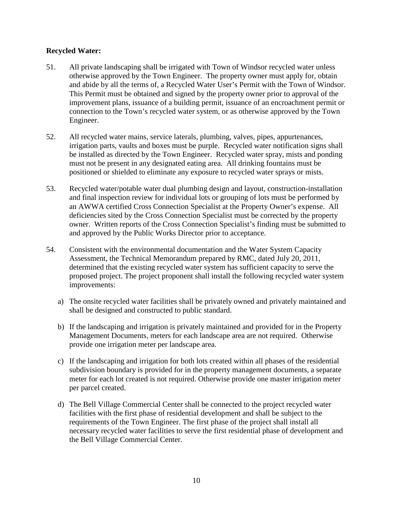## **Recycled Water:**

- 51. All private landscaping shall be irrigated with Town of Windsor recycled water unless otherwise approved by the Town Engineer. The property owner must apply for, obtain and abide by all the terms of, a Recycled Water User's Permit with the Town of Windsor. This Permit must be obtained and signed by the property owner prior to approval of the improvement plans, issuance of a building permit, issuance of an encroachment permit or connection to the Town's recycled water system, or as otherwise approved by the Town Engineer.
- 52. All recycled water mains, service laterals, plumbing, valves, pipes, appurtenances, irrigation parts, vaults and boxes must be purple. Recycled water notification signs shall be installed as directed by the Town Engineer. Recycled water spray, mists and ponding must not be present in any designated eating area. All drinking fountains must be positioned or shielded to eliminate any exposure to recycled water sprays or mists.
- 53. Recycled water/potable water dual plumbing design and layout, construction-installation and final inspection review for individual lots or grouping of lots must be performed by an AWWA certified Cross Connection Specialist at the Property Owner's expense. All deficiencies sited by the Cross Connection Specialist must be corrected by the property owner. Written reports of the Cross Connection Specialist's finding must be submitted to and approved by the Public Works Director prior to acceptance.
- 54. Consistent with the environmental documentation and the Water System Capacity Assessment, the Technical Memorandum prepared by RMC, dated July 20, 2011, determined that the existing recycled water system has sufficient capacity to serve the proposed project. The project proponent shall install the following recycled water system improvements:
	- a) The onsite recycled water facilities shall be privately owned and privately maintained and shall be designed and constructed to public standard.
	- b) If the landscaping and irrigation is privately maintained and provided for in the Property Management Documents, meters for each landscape area are not required. Otherwise provide one irrigation meter per landscape area.
	- c) If the landscaping and irrigation for both lots created within all phases of the residential subdivision boundary is provided for in the property management documents, a separate meter for each lot created is not required. Otherwise provide one master irrigation meter per parcel created.
	- d) The Bell Village Commercial Center shall be connected to the project recycled water facilities with the first phase of residential development and shall be subject to the requirements of the Town Engineer. The first phase of the project shall install all necessary recycled water facilities to serve the first residential phase of development and the Bell Village Commercial Center.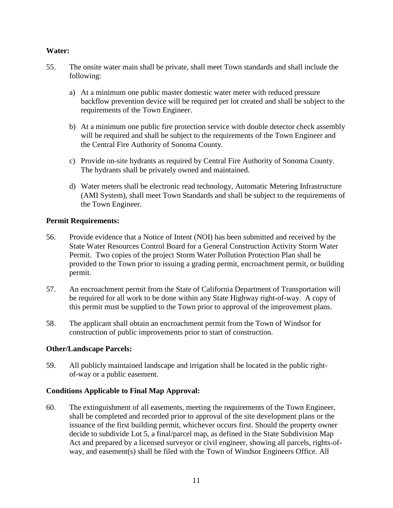### **Water:**

- 55. The onsite water main shall be private, shall meet Town standards and shall include the following:
	- a) At a minimum one public master domestic water meter with reduced pressure backflow prevention device will be required per lot created and shall be subject to the requirements of the Town Engineer.
	- b) At a minimum one public fire protection service with double detector check assembly will be required and shall be subject to the requirements of the Town Engineer and the Central Fire Authority of Sonoma County.
	- c) Provide on-site hydrants as required by Central Fire Authority of Sonoma County. The hydrants shall be privately owned and maintained.
	- d) Water meters shall be electronic read technology, Automatic Metering Infrastructure (AMI System), shall meet Town Standards and shall be subject to the requirements of the Town Engineer.

### **Permit Requirements:**

- 56. Provide evidence that a Notice of Intent (NOI) has been submitted and received by the State Water Resources Control Board for a General Construction Activity Storm Water Permit. Two copies of the project Storm Water Pollution Protection Plan shall be provided to the Town prior to issuing a grading permit, encroachment permit, or building permit.
- 57. An encroachment permit from the State of California Department of Transportation will be required for all work to be done within any State Highway right-of-way. A copy of this permit must be supplied to the Town prior to approval of the improvement plans.
- 58. The applicant shall obtain an encroachment permit from the Town of Windsor for construction of public improvements prior to start of construction.

#### **Other/Landscape Parcels:**

59. All publicly maintained landscape and irrigation shall be located in the public rightof-way or a public easement.

# **Conditions Applicable to Final Map Approval:**

60. The extinguishment of all easements, meeting the requirements of the Town Engineer, shall be completed and recorded prior to approval of the site development plans or the issuance of the first building permit, whichever occurs first. Should the property owner decide to subdivide Lot 5, a final/parcel map, as defined in the State Subdivision Map Act and prepared by a licensed surveyor or civil engineer, showing all parcels, rights-ofway, and easement(s) shall be filed with the Town of Windsor Engineers Office. All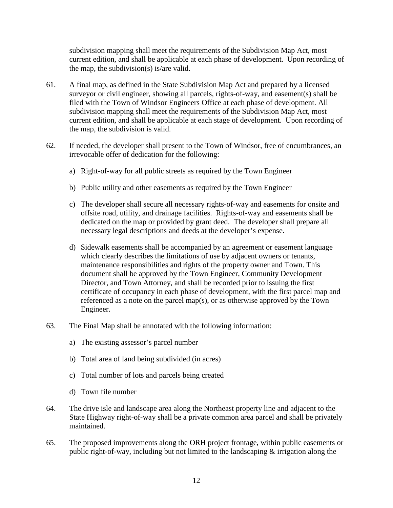subdivision mapping shall meet the requirements of the Subdivision Map Act, most current edition, and shall be applicable at each phase of development. Upon recording of the map, the subdivision(s) is/are valid.

- 61. A final map, as defined in the State Subdivision Map Act and prepared by a licensed surveyor or civil engineer, showing all parcels, rights-of-way, and easement(s) shall be filed with the Town of Windsor Engineers Office at each phase of development. All subdivision mapping shall meet the requirements of the Subdivision Map Act, most current edition, and shall be applicable at each stage of development. Upon recording of the map, the subdivision is valid.
- 62. If needed, the developer shall present to the Town of Windsor, free of encumbrances, an irrevocable offer of dedication for the following:
	- a) Right-of-way for all public streets as required by the Town Engineer
	- b) Public utility and other easements as required by the Town Engineer
	- c) The developer shall secure all necessary rights-of-way and easements for onsite and offsite road, utility, and drainage facilities. Rights-of-way and easements shall be dedicated on the map or provided by grant deed. The developer shall prepare all necessary legal descriptions and deeds at the developer's expense.
	- d) Sidewalk easements shall be accompanied by an agreement or easement language which clearly describes the limitations of use by adjacent owners or tenants, maintenance responsibilities and rights of the property owner and Town. This document shall be approved by the Town Engineer, Community Development Director, and Town Attorney, and shall be recorded prior to issuing the first certificate of occupancy in each phase of development, with the first parcel map and referenced as a note on the parcel map(s), or as otherwise approved by the Town Engineer.
- 63. The Final Map shall be annotated with the following information:
	- a) The existing assessor's parcel number
	- b) Total area of land being subdivided (in acres)
	- c) Total number of lots and parcels being created
	- d) Town file number
- 64. The drive isle and landscape area along the Northeast property line and adjacent to the State Highway right-of-way shall be a private common area parcel and shall be privately maintained.
- 65. The proposed improvements along the ORH project frontage, within public easements or public right-of-way, including but not limited to the landscaping & irrigation along the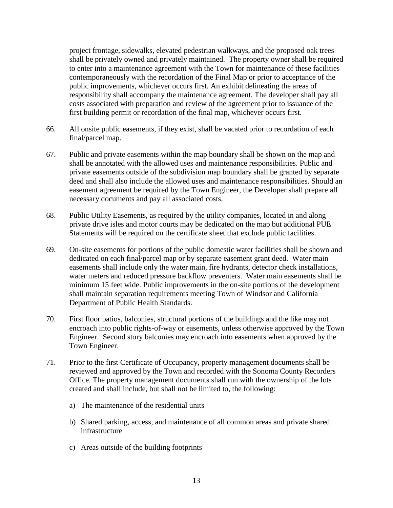project frontage, sidewalks, elevated pedestrian walkways, and the proposed oak trees shall be privately owned and privately maintained. The property owner shall be required to enter into a maintenance agreement with the Town for maintenance of these facilities contemporaneously with the recordation of the Final Map or prior to acceptance of the public improvements, whichever occurs first. An exhibit delineating the areas of responsibility shall accompany the maintenance agreement. The developer shall pay all costs associated with preparation and review of the agreement prior to issuance of the first building permit or recordation of the final map, whichever occurs first.

- 66. All onsite public easements, if they exist, shall be vacated prior to recordation of each final/parcel map.
- 67. Public and private easements within the map boundary shall be shown on the map and shall be annotated with the allowed uses and maintenance responsibilities. Public and private easements outside of the subdivision map boundary shall be granted by separate deed and shall also include the allowed uses and maintenance responsibilities. Should an easement agreement be required by the Town Engineer, the Developer shall prepare all necessary documents and pay all associated costs.
- 68. Public Utility Easements, as required by the utility companies, located in and along private drive isles and motor courts may be dedicated on the map but additional PUE Statements will be required on the certificate sheet that exclude public facilities.
- 69. On-site easements for portions of the public domestic water facilities shall be shown and dedicated on each final/parcel map or by separate easement grant deed. Water main easements shall include only the water main, fire hydrants, detector check installations, water meters and reduced pressure backflow preventers. Water main easements shall be minimum 15 feet wide. Public improvements in the on-site portions of the development shall maintain separation requirements meeting Town of Windsor and California Department of Public Health Standards.
- 70. First floor patios, balconies, structural portions of the buildings and the like may not encroach into public rights-of-way or easements, unless otherwise approved by the Town Engineer. Second story balconies may encroach into easements when approved by the Town Engineer.
- 71. Prior to the first Certificate of Occupancy, property management documents shall be reviewed and approved by the Town and recorded with the Sonoma County Recorders Office. The property management documents shall run with the ownership of the lots created and shall include, but shall not be limited to, the following:
	- a) The maintenance of the residential units
	- b) Shared parking, access, and maintenance of all common areas and private shared infrastructure
	- c) Areas outside of the building footprints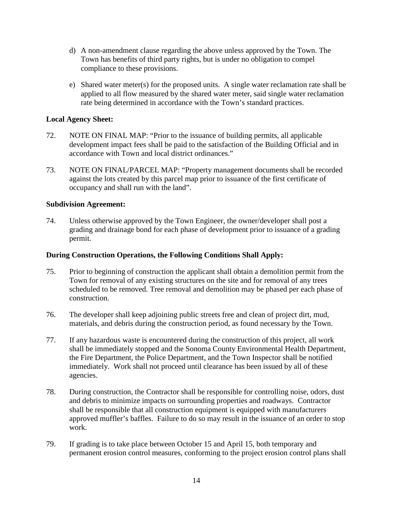- d) A non-amendment clause regarding the above unless approved by the Town. The Town has benefits of third party rights, but is under no obligation to compel compliance to these provisions.
- e) Shared water meter(s) for the proposed units. A single water reclamation rate shall be applied to all flow measured by the shared water meter, said single water reclamation rate being determined in accordance with the Town's standard practices.

### **Local Agency Sheet:**

- 72. NOTE ON FINAL MAP: "Prior to the issuance of building permits, all applicable development impact fees shall be paid to the satisfaction of the Building Official and in accordance with Town and local district ordinances."
- 73. NOTE ON FINAL/PARCEL MAP: "Property management documents shall be recorded against the lots created by this parcel map prior to issuance of the first certificate of occupancy and shall run with the land".

### **Subdivision Agreement:**

74. Unless otherwise approved by the Town Engineer, the owner/developer shall post a grading and drainage bond for each phase of development prior to issuance of a grading permit.

#### **During Construction Operations, the Following Conditions Shall Apply:**

- 75. Prior to beginning of construction the applicant shall obtain a demolition permit from the Town for removal of any existing structures on the site and for removal of any trees scheduled to be removed. Tree removal and demolition may be phased per each phase of construction.
- 76. The developer shall keep adjoining public streets free and clean of project dirt, mud, materials, and debris during the construction period, as found necessary by the Town.
- 77. If any hazardous waste is encountered during the construction of this project, all work shall be immediately stopped and the Sonoma County Environmental Health Department, the Fire Department, the Police Department, and the Town Inspector shall be notified immediately. Work shall not proceed until clearance has been issued by all of these agencies.
- 78. During construction, the Contractor shall be responsible for controlling noise, odors, dust and debris to minimize impacts on surrounding properties and roadways. Contractor shall be responsible that all construction equipment is equipped with manufacturers approved muffler's baffles. Failure to do so may result in the issuance of an order to stop work.
- 79. If grading is to take place between October 15 and April 15, both temporary and permanent erosion control measures, conforming to the project erosion control plans shall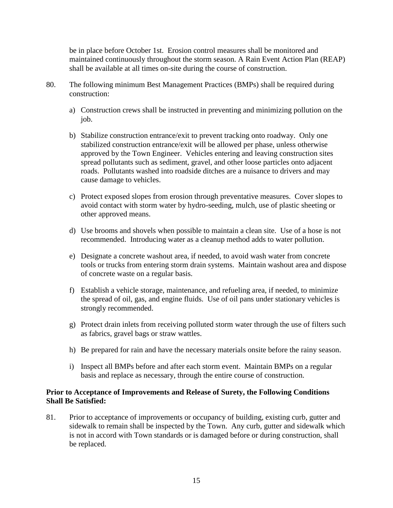be in place before October 1st. Erosion control measures shall be monitored and maintained continuously throughout the storm season. A Rain Event Action Plan (REAP) shall be available at all times on-site during the course of construction.

- 80. The following minimum Best Management Practices (BMPs) shall be required during construction:
	- a) Construction crews shall be instructed in preventing and minimizing pollution on the job.
	- b) Stabilize construction entrance/exit to prevent tracking onto roadway. Only one stabilized construction entrance/exit will be allowed per phase, unless otherwise approved by the Town Engineer. Vehicles entering and leaving construction sites spread pollutants such as sediment, gravel, and other loose particles onto adjacent roads. Pollutants washed into roadside ditches are a nuisance to drivers and may cause damage to vehicles.
	- c) Protect exposed slopes from erosion through preventative measures. Cover slopes to avoid contact with storm water by hydro-seeding, mulch, use of plastic sheeting or other approved means.
	- d) Use brooms and shovels when possible to maintain a clean site. Use of a hose is not recommended. Introducing water as a cleanup method adds to water pollution.
	- e) Designate a concrete washout area, if needed, to avoid wash water from concrete tools or trucks from entering storm drain systems. Maintain washout area and dispose of concrete waste on a regular basis.
	- f) Establish a vehicle storage, maintenance, and refueling area, if needed, to minimize the spread of oil, gas, and engine fluids. Use of oil pans under stationary vehicles is strongly recommended.
	- g) Protect drain inlets from receiving polluted storm water through the use of filters such as fabrics, gravel bags or straw wattles.
	- h) Be prepared for rain and have the necessary materials onsite before the rainy season.
	- i) Inspect all BMPs before and after each storm event. Maintain BMPs on a regular basis and replace as necessary, through the entire course of construction.

# **Prior to Acceptance of Improvements and Release of Surety, the Following Conditions Shall Be Satisfied:**

81. Prior to acceptance of improvements or occupancy of building, existing curb, gutter and sidewalk to remain shall be inspected by the Town. Any curb, gutter and sidewalk which is not in accord with Town standards or is damaged before or during construction, shall be replaced.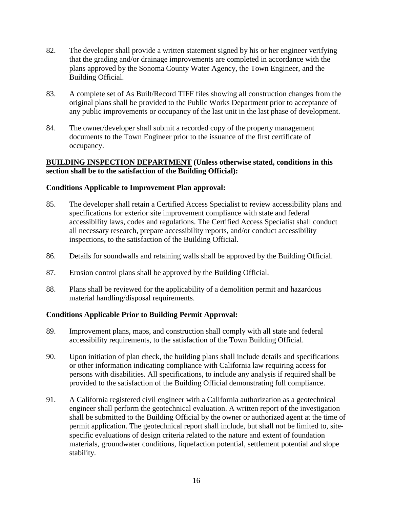- 82. The developer shall provide a written statement signed by his or her engineer verifying that the grading and/or drainage improvements are completed in accordance with the plans approved by the Sonoma County Water Agency, the Town Engineer, and the Building Official.
- 83. A complete set of As Built/Record TIFF files showing all construction changes from the original plans shall be provided to the Public Works Department prior to acceptance of any public improvements or occupancy of the last unit in the last phase of development.
- 84. The owner/developer shall submit a recorded copy of the property management documents to the Town Engineer prior to the issuance of the first certificate of occupancy.

### **BUILDING INSPECTION DEPARTMENT (Unless otherwise stated, conditions in this section shall be to the satisfaction of the Building Official):**

# **Conditions Applicable to Improvement Plan approval:**

- 85. The developer shall retain a Certified Access Specialist to review accessibility plans and specifications for exterior site improvement compliance with state and federal accessibility laws, codes and regulations. The Certified Access Specialist shall conduct all necessary research, prepare accessibility reports, and/or conduct accessibility inspections, to the satisfaction of the Building Official.
- 86. Details for soundwalls and retaining walls shall be approved by the Building Official.
- 87. Erosion control plans shall be approved by the Building Official.
- 88. Plans shall be reviewed for the applicability of a demolition permit and hazardous material handling/disposal requirements.

# **Conditions Applicable Prior to Building Permit Approval:**

- 89. Improvement plans, maps, and construction shall comply with all state and federal accessibility requirements, to the satisfaction of the Town Building Official.
- 90. Upon initiation of plan check, the building plans shall include details and specifications or other information indicating compliance with California law requiring access for persons with disabilities. All specifications, to include any analysis if required shall be provided to the satisfaction of the Building Official demonstrating full compliance.
- 91. A California registered civil engineer with a California authorization as a geotechnical engineer shall perform the geotechnical evaluation. A written report of the investigation shall be submitted to the Building Official by the owner or authorized agent at the time of permit application. The geotechnical report shall include, but shall not be limited to, sitespecific evaluations of design criteria related to the nature and extent of foundation materials, groundwater conditions, liquefaction potential, settlement potential and slope stability.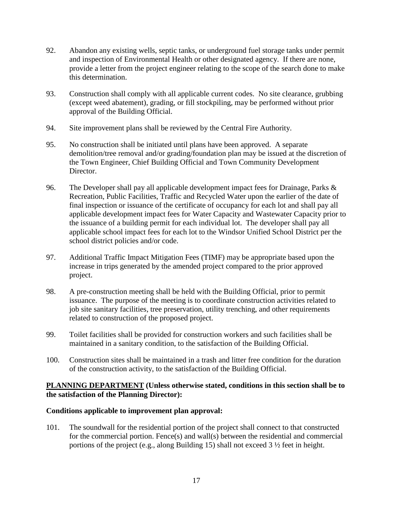- 92. Abandon any existing wells, septic tanks, or underground fuel storage tanks under permit and inspection of Environmental Health or other designated agency. If there are none, provide a letter from the project engineer relating to the scope of the search done to make this determination.
- 93. Construction shall comply with all applicable current codes. No site clearance, grubbing (except weed abatement), grading, or fill stockpiling, may be performed without prior approval of the Building Official.
- 94. Site improvement plans shall be reviewed by the Central Fire Authority.
- 95. No construction shall be initiated until plans have been approved. A separate demolition/tree removal and/or grading/foundation plan may be issued at the discretion of the Town Engineer, Chief Building Official and Town Community Development Director.
- 96. The Developer shall pay all applicable development impact fees for Drainage, Parks & Recreation, Public Facilities, Traffic and Recycled Water upon the earlier of the date of final inspection or issuance of the certificate of occupancy for each lot and shall pay all applicable development impact fees for Water Capacity and Wastewater Capacity prior to the issuance of a building permit for each individual lot. The developer shall pay all applicable school impact fees for each lot to the Windsor Unified School District per the school district policies and/or code.
- 97. Additional Traffic Impact Mitigation Fees (TIMF) may be appropriate based upon the increase in trips generated by the amended project compared to the prior approved project.
- 98. A pre-construction meeting shall be held with the Building Official, prior to permit issuance. The purpose of the meeting is to coordinate construction activities related to job site sanitary facilities, tree preservation, utility trenching, and other requirements related to construction of the proposed project.
- 99. Toilet facilities shall be provided for construction workers and such facilities shall be maintained in a sanitary condition, to the satisfaction of the Building Official.
- 100. Construction sites shall be maintained in a trash and litter free condition for the duration of the construction activity, to the satisfaction of the Building Official.

### **PLANNING DEPARTMENT (Unless otherwise stated, conditions in this section shall be to the satisfaction of the Planning Director):**

# **Conditions applicable to improvement plan approval:**

101. The soundwall for the residential portion of the project shall connect to that constructed for the commercial portion. Fence(s) and wall(s) between the residential and commercial portions of the project (e.g., along Building 15) shall not exceed 3 ½ feet in height.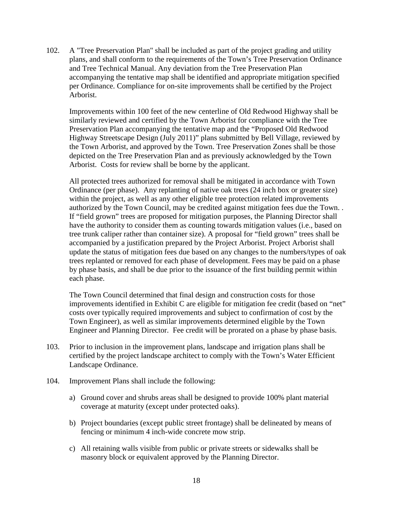102. A "Tree Preservation Plan" shall be included as part of the project grading and utility plans, and shall conform to the requirements of the Town's Tree Preservation Ordinance and Tree Technical Manual. Any deviation from the Tree Preservation Plan accompanying the tentative map shall be identified and appropriate mitigation specified per Ordinance. Compliance for on-site improvements shall be certified by the Project Arborist.

Improvements within 100 feet of the new centerline of Old Redwood Highway shall be similarly reviewed and certified by the Town Arborist for compliance with the Tree Preservation Plan accompanying the tentative map and the "Proposed Old Redwood Highway Streetscape Design (July 2011)" plans submitted by Bell Village, reviewed by the Town Arborist, and approved by the Town. Tree Preservation Zones shall be those depicted on the Tree Preservation Plan and as previously acknowledged by the Town Arborist. Costs for review shall be borne by the applicant.

All protected trees authorized for removal shall be mitigated in accordance with Town Ordinance (per phase). Any replanting of native oak trees (24 inch box or greater size) within the project, as well as any other eligible tree protection related improvements authorized by the Town Council, may be credited against mitigation fees due the Town. . If "field grown" trees are proposed for mitigation purposes, the Planning Director shall have the authority to consider them as counting towards mitigation values (i.e., based on tree trunk caliper rather than container size). A proposal for "field grown" trees shall be accompanied by a justification prepared by the Project Arborist. Project Arborist shall update the status of mitigation fees due based on any changes to the numbers/types of oak trees replanted or removed for each phase of development. Fees may be paid on a phase by phase basis, and shall be due prior to the issuance of the first building permit within each phase.

The Town Council determined that final design and construction costs for those improvements identified in Exhibit C are eligible for mitigation fee credit (based on "net" costs over typically required improvements and subject to confirmation of cost by the Town Engineer), as well as similar improvements determined eligible by the Town Engineer and Planning Director. Fee credit will be prorated on a phase by phase basis.

- 103. Prior to inclusion in the improvement plans, landscape and irrigation plans shall be certified by the project landscape architect to comply with the Town's Water Efficient Landscape Ordinance.
- 104. Improvement Plans shall include the following:
	- a) Ground cover and shrubs areas shall be designed to provide 100% plant material coverage at maturity (except under protected oaks).
	- b) Project boundaries (except public street frontage) shall be delineated by means of fencing or minimum 4 inch-wide concrete mow strip.
	- c) All retaining walls visible from public or private streets or sidewalks shall be masonry block or equivalent approved by the Planning Director.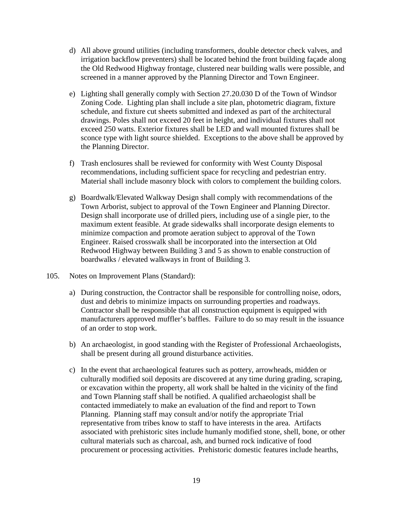- d) All above ground utilities (including transformers, double detector check valves, and irrigation backflow preventers) shall be located behind the front building façade along the Old Redwood Highway frontage, clustered near building walls were possible, and screened in a manner approved by the Planning Director and Town Engineer.
- e) Lighting shall generally comply with Section 27.20.030 D of the Town of Windsor Zoning Code. Lighting plan shall include a site plan, photometric diagram, fixture schedule, and fixture cut sheets submitted and indexed as part of the architectural drawings. Poles shall not exceed 20 feet in height, and individual fixtures shall not exceed 250 watts. Exterior fixtures shall be LED and wall mounted fixtures shall be sconce type with light source shielded. Exceptions to the above shall be approved by the Planning Director.
- f) Trash enclosures shall be reviewed for conformity with West County Disposal recommendations, including sufficient space for recycling and pedestrian entry. Material shall include masonry block with colors to complement the building colors.
- g) Boardwalk/Elevated Walkway Design shall comply with recommendations of the Town Arborist, subject to approval of the Town Engineer and Planning Director. Design shall incorporate use of drilled piers, including use of a single pier, to the maximum extent feasible. At grade sidewalks shall incorporate design elements to minimize compaction and promote aeration subject to approval of the Town Engineer. Raised crosswalk shall be incorporated into the intersection at Old Redwood Highway between Building 3 and 5 as shown to enable construction of boardwalks / elevated walkways in front of Building 3.
- 105. Notes on Improvement Plans (Standard):
	- a) During construction, the Contractor shall be responsible for controlling noise, odors, dust and debris to minimize impacts on surrounding properties and roadways. Contractor shall be responsible that all construction equipment is equipped with manufacturers approved muffler's baffles. Failure to do so may result in the issuance of an order to stop work.
	- b) An archaeologist, in good standing with the Register of Professional Archaeologists, shall be present during all ground disturbance activities.
	- c) In the event that archaeological features such as pottery, arrowheads, midden or culturally modified soil deposits are discovered at any time during grading, scraping, or excavation within the property, all work shall be halted in the vicinity of the find and Town Planning staff shall be notified. A qualified archaeologist shall be contacted immediately to make an evaluation of the find and report to Town Planning. Planning staff may consult and/or notify the appropriate Trial representative from tribes know to staff to have interests in the area. Artifacts associated with prehistoric sites include humanly modified stone, shell, bone, or other cultural materials such as charcoal, ash, and burned rock indicative of food procurement or processing activities. Prehistoric domestic features include hearths,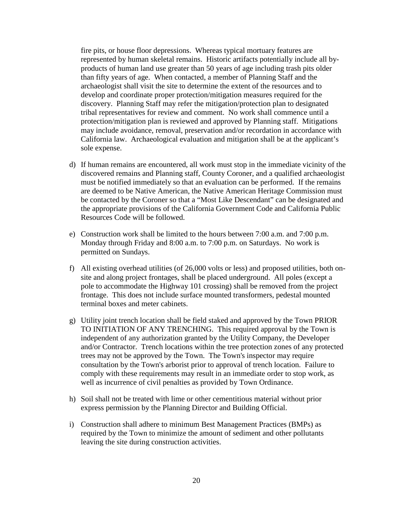fire pits, or house floor depressions. Whereas typical mortuary features are represented by human skeletal remains. Historic artifacts potentially include all byproducts of human land use greater than 50 years of age including trash pits older than fifty years of age. When contacted, a member of Planning Staff and the archaeologist shall visit the site to determine the extent of the resources and to develop and coordinate proper protection/mitigation measures required for the discovery. Planning Staff may refer the mitigation/protection plan to designated tribal representatives for review and comment. No work shall commence until a protection/mitigation plan is reviewed and approved by Planning staff. Mitigations may include avoidance, removal, preservation and/or recordation in accordance with California law. Archaeological evaluation and mitigation shall be at the applicant's sole expense.

- d) If human remains are encountered, all work must stop in the immediate vicinity of the discovered remains and Planning staff, County Coroner, and a qualified archaeologist must be notified immediately so that an evaluation can be performed. If the remains are deemed to be Native American, the Native American Heritage Commission must be contacted by the Coroner so that a "Most Like Descendant" can be designated and the appropriate provisions of the California Government Code and California Public Resources Code will be followed.
- e) Construction work shall be limited to the hours between 7:00 a.m. and 7:00 p.m. Monday through Friday and 8:00 a.m. to 7:00 p.m. on Saturdays. No work is permitted on Sundays.
- f) All existing overhead utilities (of 26,000 volts or less) and proposed utilities, both onsite and along project frontages, shall be placed underground. All poles (except a pole to accommodate the Highway 101 crossing) shall be removed from the project frontage. This does not include surface mounted transformers, pedestal mounted terminal boxes and meter cabinets.
- g) Utility joint trench location shall be field staked and approved by the Town PRIOR TO INITIATION OF ANY TRENCHING. This required approval by the Town is independent of any authorization granted by the Utility Company, the Developer and/or Contractor. Trench locations within the tree protection zones of any protected trees may not be approved by the Town. The Town's inspector may require consultation by the Town's arborist prior to approval of trench location. Failure to comply with these requirements may result in an immediate order to stop work, as well as incurrence of civil penalties as provided by Town Ordinance.
- h) Soil shall not be treated with lime or other cementitious material without prior express permission by the Planning Director and Building Official.
- i) Construction shall adhere to minimum Best Management Practices (BMPs) as required by the Town to minimize the amount of sediment and other pollutants leaving the site during construction activities.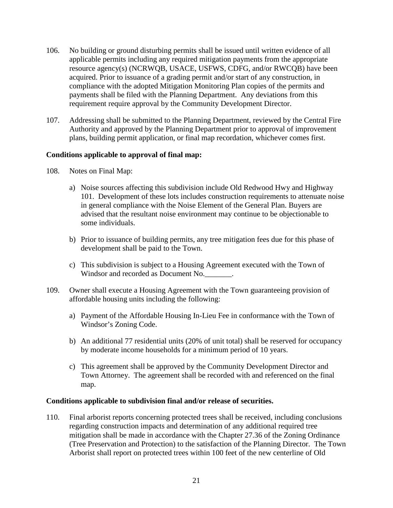- 106. No building or ground disturbing permits shall be issued until written evidence of all applicable permits including any required mitigation payments from the appropriate resource agency(s) (NCRWQB, USACE, USFWS, CDFG, and/or RWCQB) have been acquired. Prior to issuance of a grading permit and/or start of any construction, in compliance with the adopted Mitigation Monitoring Plan copies of the permits and payments shall be filed with the Planning Department. Any deviations from this requirement require approval by the Community Development Director.
- 107. Addressing shall be submitted to the Planning Department, reviewed by the Central Fire Authority and approved by the Planning Department prior to approval of improvement plans, building permit application, or final map recordation, whichever comes first.

### **Conditions applicable to approval of final map:**

- 108. Notes on Final Map:
	- a) Noise sources affecting this subdivision include Old Redwood Hwy and Highway 101. Development of these lots includes construction requirements to attenuate noise in general compliance with the Noise Element of the General Plan. Buyers are advised that the resultant noise environment may continue to be objectionable to some individuals.
	- b) Prior to issuance of building permits, any tree mitigation fees due for this phase of development shall be paid to the Town.
	- c) This subdivision is subject to a Housing Agreement executed with the Town of Windsor and recorded as Document No.\_\_\_\_\_\_\_.
- 109. Owner shall execute a Housing Agreement with the Town guaranteeing provision of affordable housing units including the following:
	- a) Payment of the Affordable Housing In-Lieu Fee in conformance with the Town of Windsor's Zoning Code.
	- b) An additional 77 residential units (20% of unit total) shall be reserved for occupancy by moderate income households for a minimum period of 10 years.
	- c) This agreement shall be approved by the Community Development Director and Town Attorney. The agreement shall be recorded with and referenced on the final map.

#### **Conditions applicable to subdivision final and/or release of securities.**

110. Final arborist reports concerning protected trees shall be received, including conclusions regarding construction impacts and determination of any additional required tree mitigation shall be made in accordance with the Chapter 27.36 of the Zoning Ordinance (Tree Preservation and Protection) to the satisfaction of the Planning Director. The Town Arborist shall report on protected trees within 100 feet of the new centerline of Old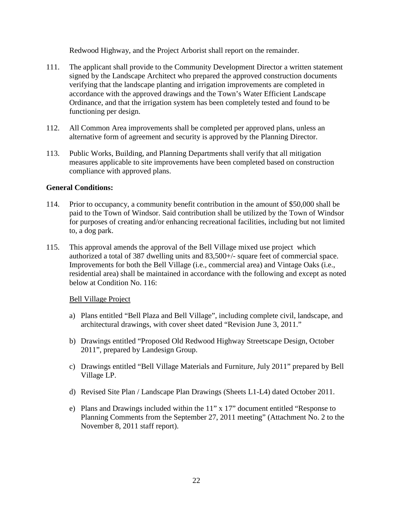Redwood Highway, and the Project Arborist shall report on the remainder.

- 111. The applicant shall provide to the Community Development Director a written statement signed by the Landscape Architect who prepared the approved construction documents verifying that the landscape planting and irrigation improvements are completed in accordance with the approved drawings and the Town's Water Efficient Landscape Ordinance, and that the irrigation system has been completely tested and found to be functioning per design.
- 112. All Common Area improvements shall be completed per approved plans, unless an alternative form of agreement and security is approved by the Planning Director.
- 113. Public Works, Building, and Planning Departments shall verify that all mitigation measures applicable to site improvements have been completed based on construction compliance with approved plans.

# **General Conditions:**

- 114. Prior to occupancy, a community benefit contribution in the amount of \$50,000 shall be paid to the Town of Windsor. Said contribution shall be utilized by the Town of Windsor for purposes of creating and/or enhancing recreational facilities, including but not limited to, a dog park.
- 115. This approval amends the approval of the Bell Village mixed use project which authorized a total of 387 dwelling units and 83,500+/- square feet of commercial space. Improvements for both the Bell Village (i.e., commercial area) and Vintage Oaks (i.e., residential area) shall be maintained in accordance with the following and except as noted below at Condition No. 116:

# Bell Village Project

- a) Plans entitled "Bell Plaza and Bell Village", including complete civil, landscape, and architectural drawings, with cover sheet dated "Revision June 3, 2011."
- b) Drawings entitled "Proposed Old Redwood Highway Streetscape Design, October 2011", prepared by Landesign Group.
- c) Drawings entitled "Bell Village Materials and Furniture, July 2011" prepared by Bell Village LP.
- d) Revised Site Plan / Landscape Plan Drawings (Sheets L1-L4) dated October 2011.
- e) Plans and Drawings included within the 11" x 17" document entitled "Response to Planning Comments from the September 27, 2011 meeting" (Attachment No. 2 to the November 8, 2011 staff report).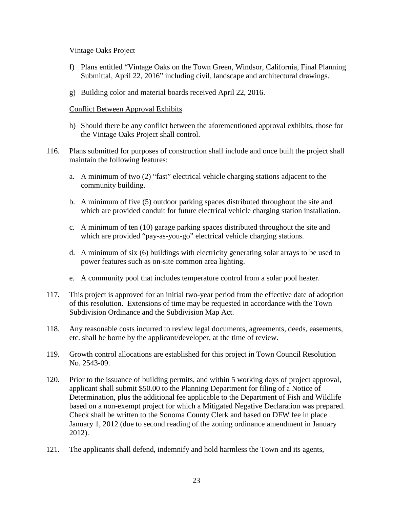### Vintage Oaks Project

- f) Plans entitled "Vintage Oaks on the Town Green, Windsor, California, Final Planning Submittal, April 22, 2016" including civil, landscape and architectural drawings.
- g) Building color and material boards received April 22, 2016.

### Conflict Between Approval Exhibits

- h) Should there be any conflict between the aforementioned approval exhibits, those for the Vintage Oaks Project shall control.
- 116. Plans submitted for purposes of construction shall include and once built the project shall maintain the following features:
	- a. A minimum of two (2) "fast" electrical vehicle charging stations adjacent to the community building.
	- b. A minimum of five (5) outdoor parking spaces distributed throughout the site and which are provided conduit for future electrical vehicle charging station installation.
	- c. A minimum of ten (10) garage parking spaces distributed throughout the site and which are provided "pay-as-you-go" electrical vehicle charging stations.
	- d. A minimum of six (6) buildings with electricity generating solar arrays to be used to power features such as on-site common area lighting.
	- e. A community pool that includes temperature control from a solar pool heater.
- 117. This project is approved for an initial two-year period from the effective date of adoption of this resolution. Extensions of time may be requested in accordance with the Town Subdivision Ordinance and the Subdivision Map Act.
- 118. Any reasonable costs incurred to review legal documents, agreements, deeds, easements, etc. shall be borne by the applicant/developer, at the time of review.
- 119. Growth control allocations are established for this project in Town Council Resolution No. 2543-09.
- 120. Prior to the issuance of building permits, and within 5 working days of project approval, applicant shall submit \$50.00 to the Planning Department for filing of a Notice of Determination, plus the additional fee applicable to the Department of Fish and Wildlife based on a non-exempt project for which a Mitigated Negative Declaration was prepared. Check shall be written to the Sonoma County Clerk and based on DFW fee in place January 1, 2012 (due to second reading of the zoning ordinance amendment in January 2012).
- 121. The applicants shall defend, indemnify and hold harmless the Town and its agents,